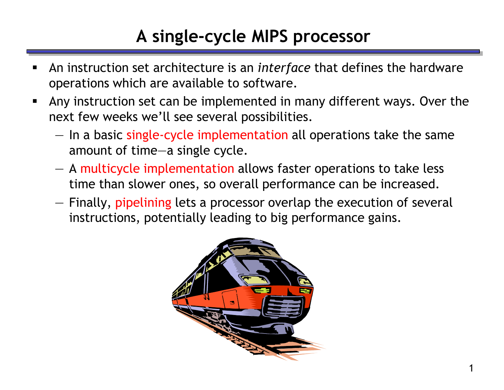## **A single-cycle MIPS processor**

- An instruction set architecture is an *interface* that defines the hardware operations which are available to software.
- Any instruction set can be implemented in many different ways. Over the next few weeks we'll see several possibilities.
	- In a basic single-cycle implementation all operations take the same amount of time—a single cycle.
	- A multicycle implementation allows faster operations to take less time than slower ones, so overall performance can be increased.
	- Finally, pipelining lets a processor overlap the execution of several instructions, potentially leading to big performance gains.

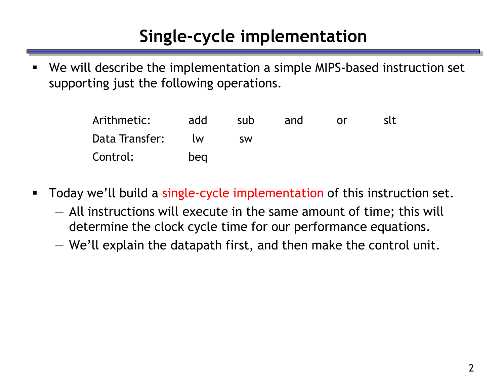## **Single-cycle implementation**

 We will describe the implementation a simple MIPS-based instruction set supporting just the following operations.

| Arithmetic:    | add       | sub       | and | <u>or</u> | slt |
|----------------|-----------|-----------|-----|-----------|-----|
| Data Transfer: | <b>IW</b> | <b>SW</b> |     |           |     |
| Control:       | beg       |           |     |           |     |

- **Today we'll build a single-cycle implementation of this instruction set.** 
	- All instructions will execute in the same amount of time; this will determine the clock cycle time for our performance equations.
	- We'll explain the datapath first, and then make the control unit.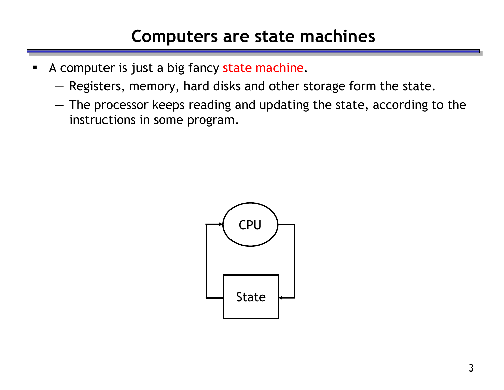### **Computers are state machines**

- A computer is just a big fancy state machine.
	- Registers, memory, hard disks and other storage form the state.
	- The processor keeps reading and updating the state, according to the instructions in some program.

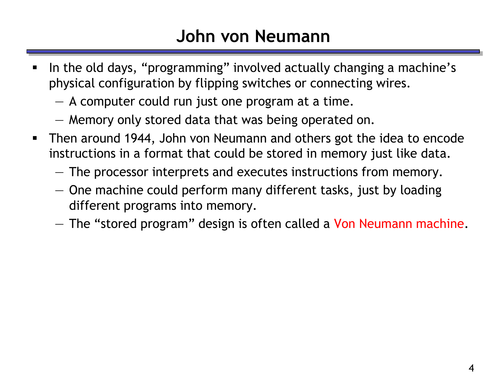## **John von Neumann**

- In the old days, "programming" involved actually changing a machine's physical configuration by flipping switches or connecting wires.
	- A computer could run just one program at a time.
	- Memory only stored data that was being operated on.
- Then around 1944, John von Neumann and others got the idea to encode instructions in a format that could be stored in memory just like data.
	- The processor interprets and executes instructions from memory.
	- One machine could perform many different tasks, just by loading different programs into memory.
	- $-$  The "stored program" design is often called a Von Neumann machine.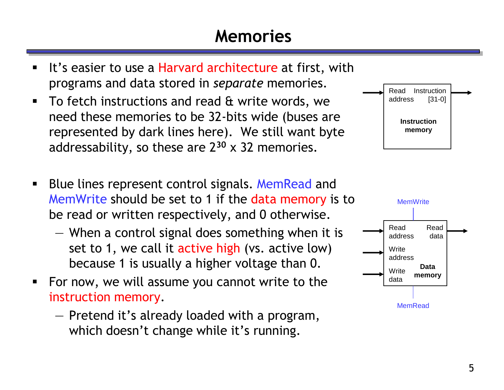#### **Memories**



- It's easier to use a Harvard architecture at first, with programs and data stored in *separate* memories.
- To fetch instructions and read & write words, we need these memories to be 32-bits wide (buses are represented by dark lines here). We still want byte addressability, so these are 2**<sup>30</sup>** x 32 memories.
- Blue lines represent control signals. MemRead and MemWrite should be set to 1 if the data memory is to be read or written respectively, and 0 otherwise.
	- When a control signal does something when it is set to 1, we call it active high (vs. active low) because 1 is usually a higher voltage than 0.
- For now, we will assume you cannot write to the instruction memory.
	- Pretend it's already loaded with a program, which doesn't change while it's running.

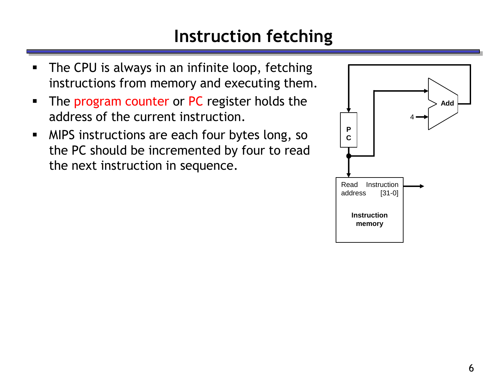## **Instruction fetching**

- **The CPU is always in an infinite loop, fetching** instructions from memory and executing them.
- The program counter or PC register holds the address of the current instruction.
- **MIPS instructions are each four bytes long, so** the PC should be incremented by four to read the next instruction in sequence.

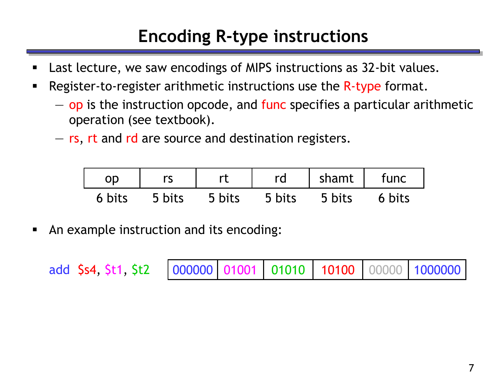# **Encoding R-type instructions**

- Last lecture, we saw encodings of MIPS instructions as 32-bit values.
- **-** Register-to-register arithmetic instructions use the R-type format.
	- op is the instruction opcode, and func specifies a particular arithmetic operation (see textbook).
	- rs, rt and rd are source and destination registers.

| OD     |        |        | rd     | shamt  | func   |
|--------|--------|--------|--------|--------|--------|
| 6 bits | 5 bits | 5 bits | 5 bits | 5 bits | 6 bits |

An example instruction and its encoding:

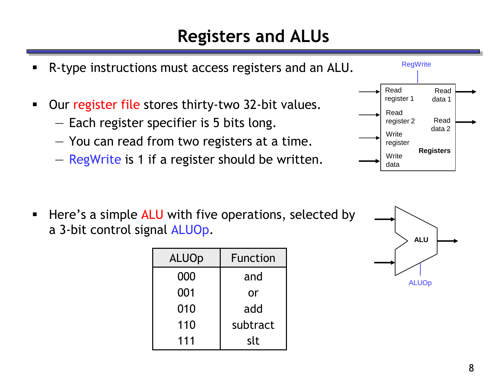### **Registers and ALUs**

 R-type instructions must access registers and an ALU. **Dur register file stores thirty-two 32-bit values.** — Each register specifier is 5 bits long. — You can read from two registers at a time. — RegWrite is 1 if a register should be written. Read register 1 Read register 2 **Write** register **Write** data Read data 2 Read data 1 **Registers RegWrite** 

**Here's a simple ALU with five operations, selected by** a 3-bit control signal ALUOp.

| <b>ALUOp</b> | Function |
|--------------|----------|
| 000          | and      |
| 001          | or       |
| 010          | add      |
| 110          | subtract |
| 111          | slt      |

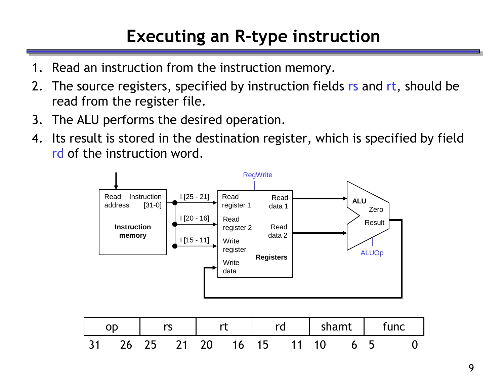# **Executing an R-type instruction**

- 1. Read an instruction from the instruction memory.
- 2. The source registers, specified by instruction fields rs and rt, should be read from the register file.
- 3. The ALU performs the desired operation.
- 4. Its result is stored in the destination register, which is specified by field rd of the instruction word.



|      | <u>sa serial pro</u> |  |       | and the set of the set of the set of the set of the set of the set of the set of the set of the set of the set o<br>Allege set of the set of the set of the set of the set of the set of the set of the set of the set of the set | shamt   | tunc |  |
|------|----------------------|--|-------|-----------------------------------------------------------------------------------------------------------------------------------------------------------------------------------------------------------------------------------|---------|------|--|
| - 31 | 26 25 21 20          |  | 16 15 | $11 \quad 10$                                                                                                                                                                                                                     | _ 6 _ 5 |      |  |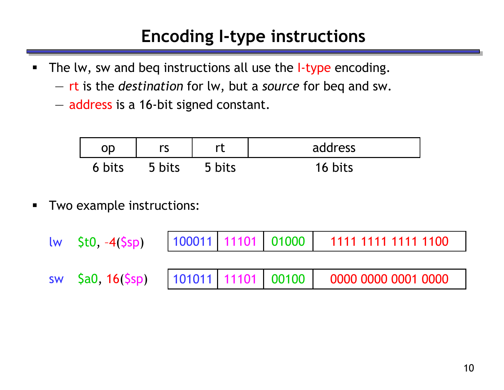## **Encoding I-type instructions**

- The lw, sw and beq instructions all use the I-type encoding.
	- rt is the *destination* for lw, but a *source* for beq and sw.
	- address is a 16-bit signed constant.

| nn     | rc<br>∣ ১ | rt     | address           |
|--------|-----------|--------|-------------------|
| 6 bits | 5 bits    | 5 bits | $16 \text{ bits}$ |

**Two example instructions:** 

| $lw$ \$t $0, -4$ (\$sp) |  | 100011 11101 01000 1111 1111 1111 1100 |
|-------------------------|--|----------------------------------------|
|                         |  |                                        |
| sw $\$ 5a0, 16(Ssp)     |  | 101011 11101 00100 0000 0000 0001 0000 |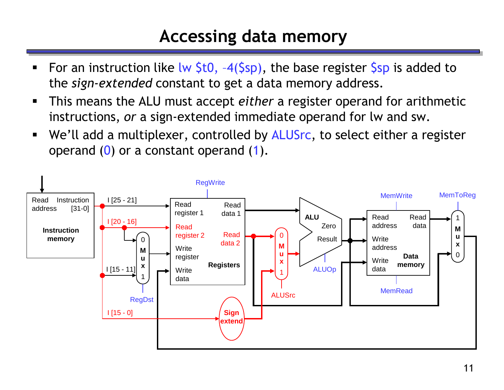#### **Accessing data memory**

- For an instruction like lw  $$t0, -4(Ssp)$ , the base register  $$sp$  is added to the *sign-extended* constant to get a data memory address.
- This means the ALU must accept *either* a register operand for arithmetic instructions, *or* a sign-extended immediate operand for lw and sw.
- We'll add a multiplexer, controlled by ALUSrc, to select either a register operand  $(0)$  or a constant operand  $(1)$ .

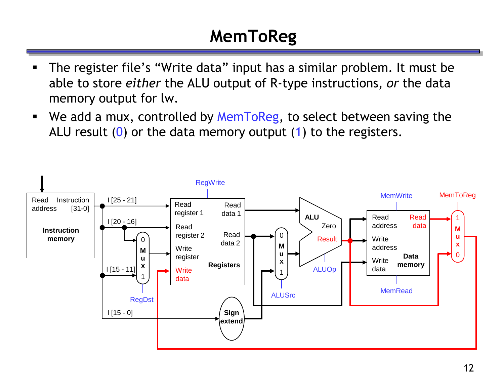# **MemToReg**

- The register file's "Write data" input has a similar problem. It must be able to store *either* the ALU output of R-type instructions, *or* the data memory output for lw.
- We add a mux, controlled by MemToReg, to select between saving the ALU result  $(0)$  or the data memory output  $(1)$  to the registers.

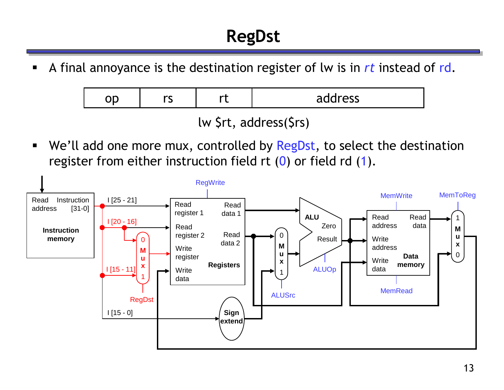A final annoyance is the destination register of lw is in *rt* instead of rd.

| <b>VC</b> | <b>DOM:</b> | address |
|-----------|-------------|---------|
|           |             |         |

lw \$rt, address(\$rs)

■ We'll add one more mux, controlled by RegDst, to select the destination register from either instruction field rt  $(0)$  or field rd  $(1)$ .

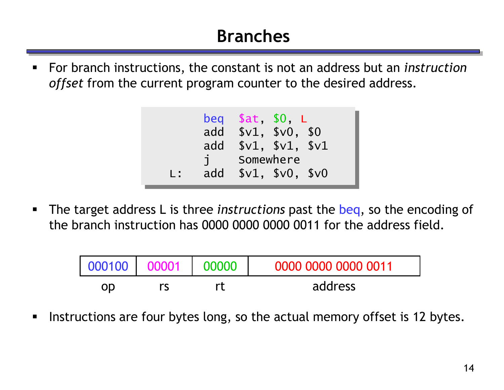## **Branches**

 For branch instructions, the constant is not an address but an *instruction offset* from the current program counter to the desired address.

|     | add | beg $$at$ , $$0$ , $L$<br>add $$v1, $v0, $0$ | \$v1, \$v1, \$v1<br>Somewhere |  |
|-----|-----|----------------------------------------------|-------------------------------|--|
|     |     |                                              |                               |  |
| L : | add |                                              | \$v1, \$v0, \$v0              |  |

 The target address L is three *instructions* past the beq, so the encoding of the branch instruction has 0000 0000 0000 0011 for the address field.

| 000100 | 00000<br>00001 |  | 0000 0000 0000 0011 |
|--------|----------------|--|---------------------|
| OD     | rς             |  | address             |

Instructions are four bytes long, so the actual memory offset is 12 bytes.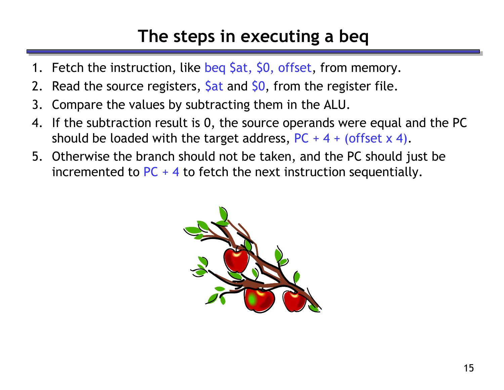### **The steps in executing a beq**

- 1. Fetch the instruction, like beg \$at, \$0, offset, from memory.
- 2. Read the source registers,  $\frac{5}{10}$  and  $\frac{5}{10}$ , from the register file.
- 3. Compare the values by subtracting them in the ALU.
- 4. If the subtraction result is 0, the source operands were equal and the PC should be loaded with the target address,  $PC + 4 + (offset \times 4)$ .
- 5. Otherwise the branch should not be taken, and the PC should just be incremented to  $PC + 4$  to fetch the next instruction sequentially.

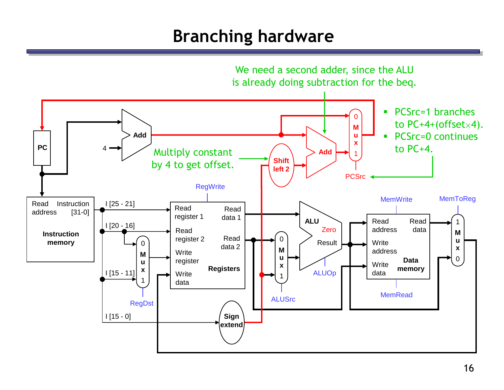## **Branching hardware**

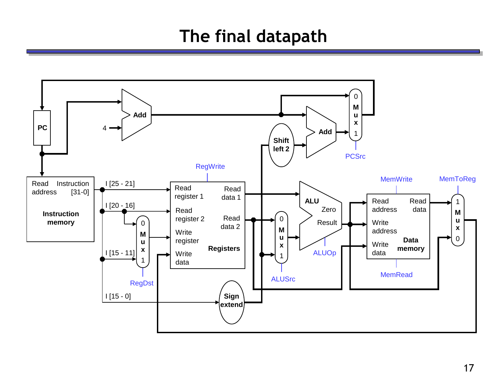### **The final datapath**

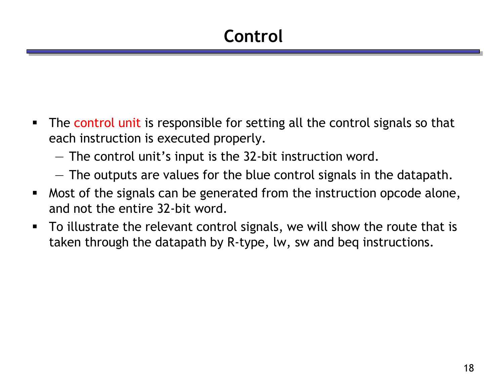- The control unit is responsible for setting all the control signals so that each instruction is executed properly.
	- The control unit's input is the 32-bit instruction word.
	- The outputs are values for the blue control signals in the datapath.
- Most of the signals can be generated from the instruction opcode alone, and not the entire 32-bit word.
- To illustrate the relevant control signals, we will show the route that is taken through the datapath by R-type, lw, sw and beq instructions.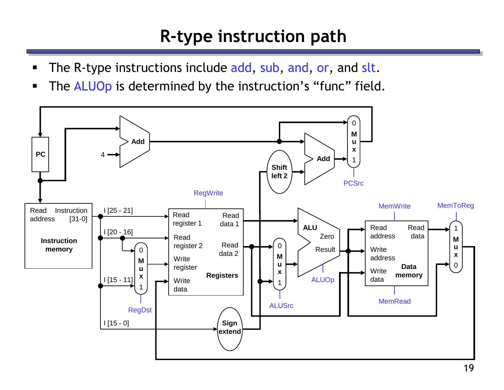## **R-type instruction path**

- The R-type instructions include add, sub, and, or, and slt.
- The ALUOp is determined by the instruction's "func" field.

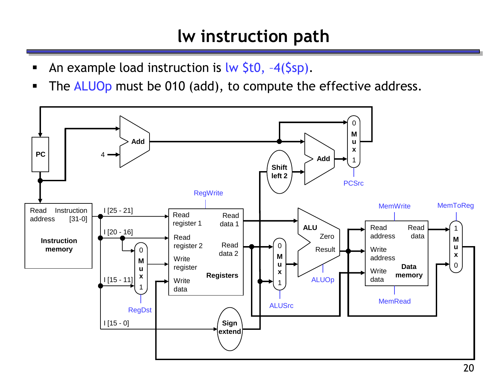#### **lw instruction path**

- An example load instruction is lw \$t0, -4(\$sp).
- The ALUOp must be 010 (add), to compute the effective address.

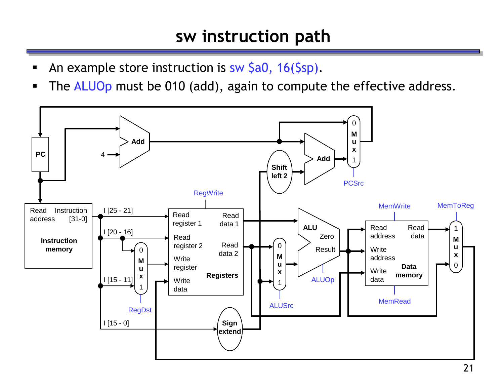#### **sw instruction path**

- An example store instruction is sw \$a0, 16(\$sp).
- The ALUOp must be 010 (add), again to compute the effective address.

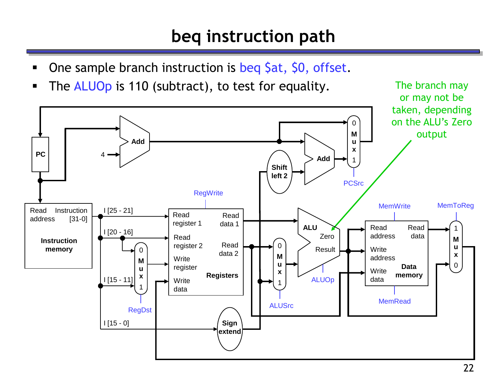## **beq instruction path**

- One sample branch instruction is beq \$at, \$0, offset.
- The ALUOp is 110 (subtract), to test for equality. The branch may

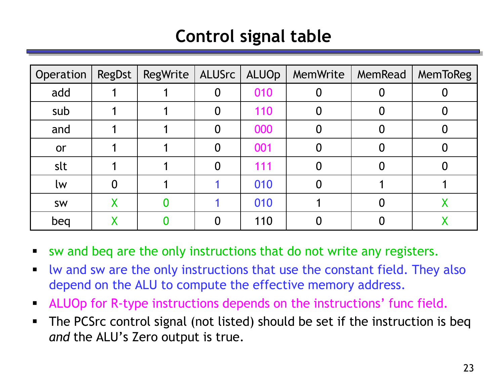## **Control signal table**

| Operation | RegDst | RegWrite   ALUSrc |   | ALUOp | MemWrite | MemRead | MemToReg |
|-----------|--------|-------------------|---|-------|----------|---------|----------|
| add       |        |                   | 0 | 010   |          |         |          |
| sub       |        |                   | 0 | 110   |          |         |          |
| and       |        |                   | 0 | 000   |          |         |          |
| or        |        |                   | 0 | 001   |          |         |          |
| slt       |        |                   | 0 | 111   |          |         |          |
| lw        | 0      |                   |   | 010   |          |         |          |
| SW        | Χ      |                   |   | 010   |          |         |          |
| beg       |        |                   |   | 110   |          |         |          |

- sw and beq are the only instructions that do not write any registers.
- lw and sw are the only instructions that use the constant field. They also depend on the ALU to compute the effective memory address.
- ALUOp for R-type instructions depends on the instructions' func field.
- The PCSrc control signal (not listed) should be set if the instruction is beq *and* the ALU's Zero output is true.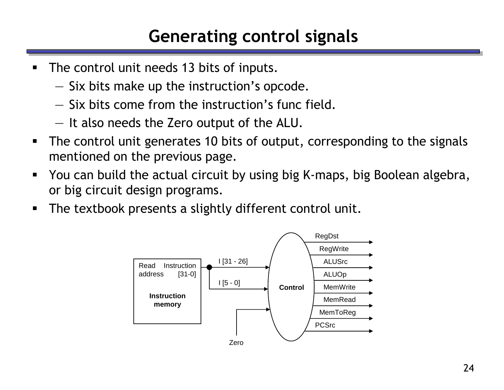## **Generating control signals**

- The control unit needs 13 bits of inputs.
	- Six bits make up the instruction's opcode.
	- Six bits come from the instruction's func field.
	- It also needs the Zero output of the ALU.
- The control unit generates 10 bits of output, corresponding to the signals mentioned on the previous page.
- You can build the actual circuit by using big K-maps, big Boolean algebra, or big circuit design programs.
- **The textbook presents a slightly different control unit.**